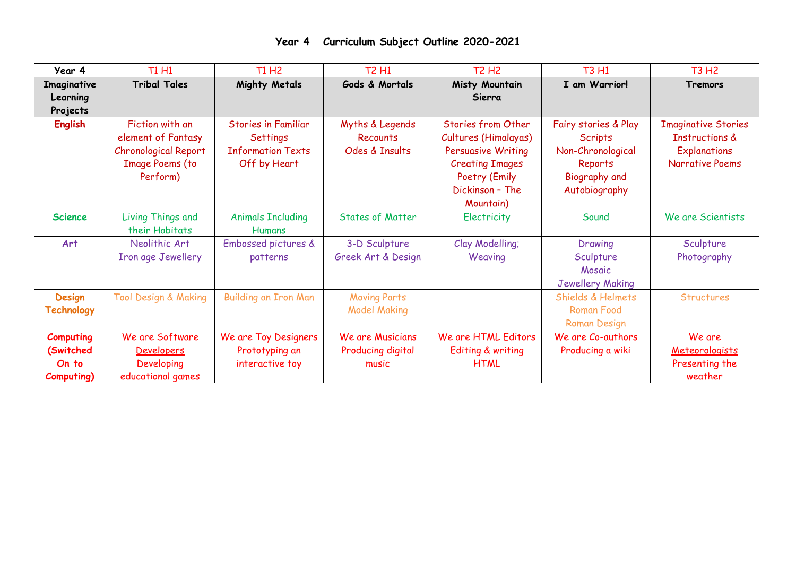| Year 4           | T1 H1                           | T1 H <sub>2</sub>          | <b>T2 H1</b>            | <b>T2 H2</b>              | <b>T3 H1</b>            | <b>T3 H2</b>               |
|------------------|---------------------------------|----------------------------|-------------------------|---------------------------|-------------------------|----------------------------|
| Imaginative      | <b>Tribal Tales</b>             | <b>Mighty Metals</b>       | Gods & Mortals          | Misty Mountain            | I am Warrior!           | Tremors                    |
| Learning         |                                 |                            |                         | Sierra                    |                         |                            |
| Projects         |                                 |                            |                         |                           |                         |                            |
| <b>English</b>   | Fiction with an                 | <b>Stories in Familiar</b> | Myths & Legends         | <b>Stories from Other</b> | Fairy stories & Play    | <b>Imaginative Stories</b> |
|                  | element of Fantasy              | Settings                   | <b>Recounts</b>         | Cultures (Himalayas)      | <b>Scripts</b>          | <b>Instructions &amp;</b>  |
|                  | <b>Chronological Report</b>     | <b>Information Texts</b>   | Odes & Insults          | <b>Persuasive Writing</b> | Non-Chronological       | <b>Explanations</b>        |
|                  | <b>Image Poems (to</b>          | Off by Heart               |                         | <b>Creating Images</b>    | Reports                 | <b>Narrative Poems</b>     |
|                  | Perform)                        |                            |                         | Poetry (Emily             | Biography and           |                            |
|                  |                                 |                            |                         | Dickinson - The           | Autobiography           |                            |
|                  |                                 |                            |                         | Mountain)                 |                         |                            |
| <b>Science</b>   | <b>Living Things and</b>        | <b>Animals Including</b>   | <b>States of Matter</b> | Electricity               | Sound                   | We are Scientists          |
|                  | their Habitats                  | <b>Humans</b>              |                         |                           |                         |                            |
| Art              | Neolithic Art                   | Embossed pictures &        | 3-D Sculpture           | Clay Modelling;           | Drawing                 | Sculpture                  |
|                  | Iron age Jewellery              | patterns                   | Greek Art & Design      | Weaving                   | Sculpture               | Photography                |
|                  |                                 |                            |                         |                           | Mosaic                  |                            |
|                  |                                 |                            |                         |                           | <b>Jewellery Making</b> |                            |
| <b>Design</b>    | <b>Tool Design &amp; Making</b> | Building an Iron Man       | <b>Moving Parts</b>     |                           | Shields & Helmets       | <b>Structures</b>          |
| Technology       |                                 |                            | <b>Model Making</b>     |                           | <b>Roman Food</b>       |                            |
|                  |                                 |                            |                         |                           | Roman Design            |                            |
| <b>Computing</b> | We are Software                 | We are Toy Designers       | We are Musicians        | We are HTML Editors       | We are Co-authors       | We are                     |
| (Switched        | <b>Developers</b>               | Prototyping an             | Producing digital       | Editing & writing         | Producing a wiki        | Meteorologists             |
| On to            | Developing                      | interactive toy            | music                   | <b>HTML</b>               |                         | Presenting the             |
| Computing)       | educational games               |                            |                         |                           |                         | weather                    |